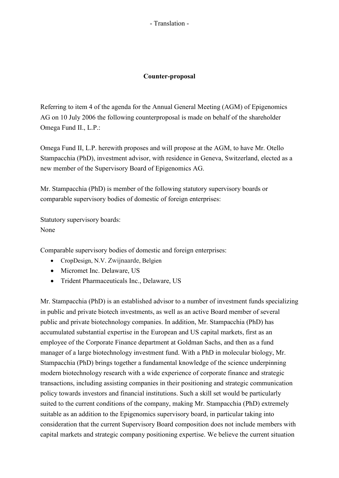## - Translation -

## **Counter-proposal**

Referring to item 4 of the agenda for the Annual General Meeting (AGM) of Epigenomics AG on 10 July 2006 the following counterproposal is made on behalf of the shareholder Omega Fund II., L.P.:

Omega Fund II, L.P. herewith proposes and will propose at the AGM, to have Mr. Otello Stampacchia (PhD), investment advisor, with residence in Geneva, Switzerland, elected as a new member of the Supervisory Board of Epigenomics AG.

Mr. Stampacchia (PhD) is member of the following statutory supervisory boards or comparable supervisory bodies of domestic of foreign enterprises:

Statutory supervisory boards: None

Comparable supervisory bodies of domestic and foreign enterprises:

- · CropDesign, N.V. Zwijnaarde, Belgien
- · Micromet Inc. Delaware, US
- · Trident Pharmaceuticals Inc., Delaware, US

Mr. Stampacchia (PhD) is an established advisor to a number of investment funds specializing in public and private biotech investments, as well as an active Board member of several public and private biotechnology companies. In addition, Mr. Stampacchia (PhD) has accumulated substantial expertise in the European and US capital markets, first as an employee of the Corporate Finance department at Goldman Sachs, and then as a fund manager of a large biotechnology investment fund. With a PhD in molecular biology, Mr. Stampacchia (PhD) brings together a fundamental knowledge of the science underpinning modern biotechnology research with a wide experience of corporate finance and strategic transactions, including assisting companies in their positioning and strategic communication policy towards investors and financial institutions. Such a skill set would be particularly suited to the current conditions of the company, making Mr. Stampacchia (PhD) extremely suitable as an addition to the Epigenomics supervisory board, in particular taking into consideration that the current Supervisory Board composition does not include members with capital markets and strategic company positioning expertise. We believe the current situation